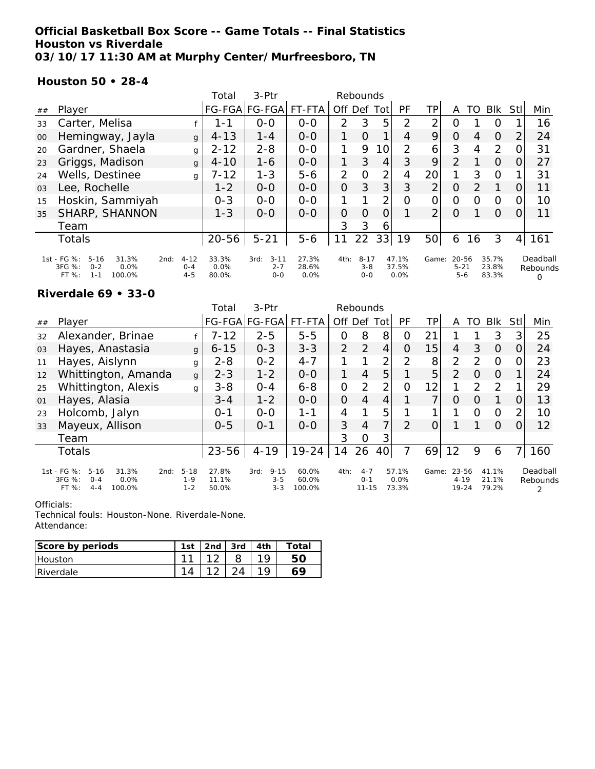### **Official Basketball Box Score -- Game Totals -- Final Statistics Houston vs Riverdale 03/10/17 11:30 AM at Murphy Center/Murfreesboro, TN**

### **Houston 50 • 28-4**

|                |                                                                                                   |                                | Total                  | $3-Ptr$                                | Rebounds               |                |                                |                 |                        |                |                                  |    |                         |                  |                                  |
|----------------|---------------------------------------------------------------------------------------------------|--------------------------------|------------------------|----------------------------------------|------------------------|----------------|--------------------------------|-----------------|------------------------|----------------|----------------------------------|----|-------------------------|------------------|----------------------------------|
| ##             | Player                                                                                            |                                |                        | FG-FGA FG-FGA                          | FT-FTA                 | Off Def        |                                | Totl            | PF                     | ΤP             | A                                | TO | <b>BIK</b>              | Stll             | Min                              |
| 33             | Carter, Melisa                                                                                    |                                | 1 - 1                  | $0-0$                                  | $0 - 0$                | $\overline{2}$ | 3                              | 5               | $\mathcal{P}$          | 2              | ი                                |    | O                       |                  | 16                               |
| 00             | Hemingway, Jayla                                                                                  | $\mathbf{q}$                   | $4 - 13$               | $1 - 4$                                | $0-0$                  | 1              | $\overline{O}$                 | 1               | 4                      | 9              | $\overline{O}$                   | 4  | $\Omega$                | 2                | 24                               |
| 20             | Gardner, Shaela                                                                                   | g                              | $2 - 12$               | $2 - 8$                                | $0 - 0$                | 1              | 9                              | 10 <sup>1</sup> | 2                      | 6              | 3                                | 4  | 2                       |                  | 31                               |
| 23             | Griggs, Madison                                                                                   | $\mathbf{q}$                   | $4 - 10$               | $1 - 6$                                | $0 - 0$                | 1              | 3                              | 4               | 3                      | 9              | 2                                |    | $\Omega$                |                  | 27                               |
| 24             | Wells, Destinee                                                                                   | g                              | 7-12                   | $1 - 3$                                | $5 - 6$                | $\overline{2}$ | $\Omega$                       | $\overline{2}$  | 4                      | 20             |                                  | 3  | 0                       |                  | 31                               |
| 0 <sub>3</sub> | Lee, Rochelle                                                                                     |                                | $1 - 2$                | $0 - 0$                                | $0 - 0$                | $\Omega$       | 3                              | 3               | 3                      | $\overline{2}$ | 0                                | 2  | 1                       | Ő                | 11                               |
| 15             | Hoskin, Sammiyah                                                                                  |                                | $0 - 3$                | $0 - 0$                                | $0 - 0$                | 1              |                                | $\overline{2}$  | 0                      | 0              | 0                                | Ω  | O                       |                  | 10                               |
| 35             | SHARP, SHANNON                                                                                    |                                | $1 - 3$                | $O-O$                                  | $O-O$                  | $\Omega$       | $\Omega$                       | $\overline{O}$  |                        | $\overline{2}$ | Ω                                |    | $\Omega$                | $\left( \right)$ | 11                               |
|                | Team                                                                                              |                                |                        |                                        |                        | 3              | 3                              | 6               |                        |                |                                  |    |                         |                  |                                  |
|                | <b>Totals</b>                                                                                     |                                | $20 - 56$              | $5 - 21$                               | $5 - 6$                | 11             | 22                             | 33              | 19                     | 50             | 6                                | 16 | 3                       | 4                | 161                              |
|                | 1st - FG %:<br>$5 - 16$<br>31.3%<br>2nd:<br>3FG %:<br>0.0%<br>$O - 2$<br>FT%<br>$1 - 1$<br>100.0% | $4 - 12$<br>$0 - 4$<br>$4 - 5$ | 33.3%<br>0.0%<br>80.0% | $3 - 11$<br>3rd:<br>$2 - 7$<br>$0 - 0$ | 27.3%<br>28.6%<br>0.0% | 4th:           | $8 - 17$<br>$3 - 8$<br>$0 - 0$ |                 | 47.1%<br>37.5%<br>0.0% | Game:          | $20 - 56$<br>$5 - 21$<br>$5 - 6$ |    | 35.7%<br>23.8%<br>83.3% |                  | Deadball<br>Rebounds<br>$\Omega$ |

#### **Riverdale 69 • 33-0**

|    |                                                                                                     |                                | Total                   | 3-Ptr                                  | Rebounds                 |             |                                 |                |                        |       |                                |               |                         |     |                           |
|----|-----------------------------------------------------------------------------------------------------|--------------------------------|-------------------------|----------------------------------------|--------------------------|-------------|---------------------------------|----------------|------------------------|-------|--------------------------------|---------------|-------------------------|-----|---------------------------|
| ## | Player                                                                                              |                                |                         | FG-FGA FG-FGA                          | FT-FTA                   | Off Def Tot |                                 |                | PF                     | TР    | A                              | TO            | <b>BIK</b>              | Stl | Min                       |
| 32 | Alexander, Brinae                                                                                   |                                | $7 - 12$                | $2 - 5$                                | $5 - 5$                  | 0           | 8                               | 8              | O                      | 21    |                                |               | 3                       | 3   | 25                        |
| 03 | Hayes, Anastasia                                                                                    | $\mathbf{q}$                   | $6 - 15$                | $0 - 3$                                | $3 - 3$                  | 2           | 2                               | 4              | O                      | 15    | 4                              | 3             | $\Omega$                | 0   | 24                        |
| 11 | Hayes, Aislynn                                                                                      | g                              | $2 - 8$                 | $0 - 2$                                | $4 - 7$                  |             |                                 | っ              | $\mathcal{D}$          | 8     | 2                              | $\mathcal{P}$ | $\Omega$                | O   | 23                        |
| 12 | Whittington, Amanda                                                                                 | $\mathbf{q}$                   | $2 - 3$                 | $1 - 2$                                | $0 - 0$                  | 1           | $\overline{4}$                  | 5              |                        | 5     | $\overline{2}$                 | $\Omega$      | $\Omega$                |     | 24                        |
| 25 | Whittington, Alexis                                                                                 | g                              | $3 - 8$                 | $0 - 4$                                | $6 - 8$                  | 0           | 2                               | っ              | Ω                      | 12    | 1                              | $\mathcal{P}$ | $\mathcal{P}$           |     | 29                        |
| 01 | Hayes, Alasia                                                                                       |                                | $3 - 4$                 | $1 - 2$                                | $0 - 0$                  | 0           | $\overline{4}$                  | 4              |                        | 7     | Ο                              | $\Omega$      |                         | O   | 13                        |
| 23 | Holcomb, Jalyn                                                                                      |                                | $O - 1$                 | $0 - 0$                                | $1 - 1$                  | 4           | 1                               | 5              |                        | 1     |                                | $\Omega$      | $\Omega$                | 2   | 10                        |
| 33 | Mayeux, Allison                                                                                     |                                | $0 - 5$                 | $0 - 1$                                | $0 - 0$                  | 3           | $\overline{4}$                  | $\overline{7}$ | 2                      |       |                                |               | $\Omega$                | 0   | 12                        |
|    | Team                                                                                                |                                |                         |                                        |                          | 3           | $\Omega$                        | 3              |                        |       |                                |               |                         |     |                           |
|    | <b>Totals</b>                                                                                       |                                | $23 - 56$               | $4 - 19$                               | $19 - 24$                | 14          | 26                              | 40             | 7                      | 69    | 12                             | 9             | 6                       |     | 160                       |
|    | 1st - FG %:<br>$5 - 16$<br>31.3%<br>2nd:<br>3FG %:<br>$O - 4$<br>0.0%<br>FT %:<br>$4 - 4$<br>100.0% | $5 - 18$<br>$1 - 9$<br>$1 - 2$ | 27.8%<br>11.1%<br>50.0% | $9 - 15$<br>3rd:<br>$3 - 5$<br>$3 - 3$ | 60.0%<br>60.0%<br>100.0% | 4th:        | $4 - 7$<br>$O - 1$<br>$11 - 15$ |                | 57.1%<br>0.0%<br>73.3% | Game: | 23-56<br>$4 - 19$<br>$19 - 24$ |               | 41.1%<br>21.1%<br>79.2% |     | Deadball<br>Rebounds<br>2 |

#### Officials:

| Score by periods | 1st | 2nd | 3rd | 4th | Total |
|------------------|-----|-----|-----|-----|-------|
| <b>Houston</b>   |     |     |     |     |       |
| Riverdale        |     |     |     |     |       |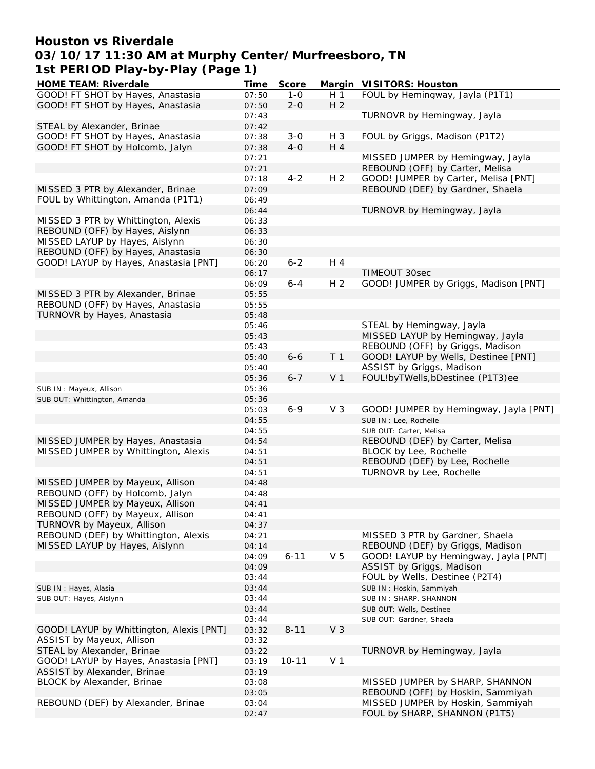## **Houston vs Riverdale 03/10/17 11:30 AM at Murphy Center/Murfreesboro, TN 1st PERIOD Play-by-Play (Page 1)**

| HOME TEAM: Riverdale                     | Time  | Score     |                | Margin VISITORS: Houston               |
|------------------------------------------|-------|-----------|----------------|----------------------------------------|
| GOOD! FT SHOT by Hayes, Anastasia        | 07:50 | $1 - 0$   | H <sub>1</sub> | FOUL by Hemingway, Jayla (P1T1)        |
| GOOD! FT SHOT by Hayes, Anastasia        | 07:50 | $2 - 0$   | H <sub>2</sub> |                                        |
|                                          | 07:43 |           |                | TURNOVR by Hemingway, Jayla            |
| STEAL by Alexander, Brinae               | 07:42 |           |                |                                        |
| GOOD! FT SHOT by Hayes, Anastasia        | 07:38 | $3 - 0$   | $H_3$          | FOUL by Griggs, Madison (P1T2)         |
| GOOD! FT SHOT by Holcomb, Jalyn          | 07:38 | $4-0$     | H 4            |                                        |
|                                          | 07:21 |           |                | MISSED JUMPER by Hemingway, Jayla      |
|                                          | 07:21 |           |                | REBOUND (OFF) by Carter, Melisa        |
|                                          | 07:18 | $4 - 2$   | H <sub>2</sub> | GOOD! JUMPER by Carter, Melisa [PNT]   |
| MISSED 3 PTR by Alexander, Brinae        | 07:09 |           |                | REBOUND (DEF) by Gardner, Shaela       |
| FOUL by Whittington, Amanda (P1T1)       | 06:49 |           |                |                                        |
|                                          | 06:44 |           |                | TURNOVR by Hemingway, Jayla            |
| MISSED 3 PTR by Whittington, Alexis      | 06:33 |           |                |                                        |
| REBOUND (OFF) by Hayes, Aislynn          | 06:33 |           |                |                                        |
| MISSED LAYUP by Hayes, Aislynn           | 06:30 |           |                |                                        |
| REBOUND (OFF) by Hayes, Anastasia        | 06:30 |           |                |                                        |
| GOOD! LAYUP by Hayes, Anastasia [PNT]    | 06:20 | $6 - 2$   | H 4            |                                        |
|                                          | 06:17 |           |                | TIMEOUT 30sec                          |
|                                          | 06:09 | $6 - 4$   | H <sub>2</sub> | GOOD! JUMPER by Griggs, Madison [PNT]  |
| MISSED 3 PTR by Alexander, Brinae        | 05:55 |           |                |                                        |
| REBOUND (OFF) by Hayes, Anastasia        | 05:55 |           |                |                                        |
| TURNOVR by Hayes, Anastasia              | 05:48 |           |                |                                        |
|                                          | 05:46 |           |                | STEAL by Hemingway, Jayla              |
|                                          | 05:43 |           |                | MISSED LAYUP by Hemingway, Jayla       |
|                                          | 05:43 |           |                | REBOUND (OFF) by Griggs, Madison       |
|                                          | 05:40 | $6 - 6$   | T <sub>1</sub> | GOOD! LAYUP by Wells, Destinee [PNT]   |
|                                          | 05:40 |           |                | ASSIST by Griggs, Madison              |
|                                          | 05:36 | $6 - 7$   | V <sub>1</sub> | FOUL!byTWells, bDestinee (P1T3)ee      |
| SUB IN: Mayeux, Allison                  | 05:36 |           |                |                                        |
| SUB OUT: Whittington, Amanda             | 05:36 |           |                |                                        |
|                                          | 05:03 | $6 - 9$   | V <sub>3</sub> | GOOD! JUMPER by Hemingway, Jayla [PNT] |
|                                          | 04:55 |           |                | SUB IN : Lee, Rochelle                 |
|                                          | 04:55 |           |                | SUB OUT: Carter, Melisa                |
| MISSED JUMPER by Hayes, Anastasia        | 04:54 |           |                | REBOUND (DEF) by Carter, Melisa        |
| MISSED JUMPER by Whittington, Alexis     | 04:51 |           |                | BLOCK by Lee, Rochelle                 |
|                                          | 04:51 |           |                | REBOUND (DEF) by Lee, Rochelle         |
|                                          | 04:51 |           |                | TURNOVR by Lee, Rochelle               |
| MISSED JUMPER by Mayeux, Allison         | 04:48 |           |                |                                        |
| REBOUND (OFF) by Holcomb, Jalyn          | 04:48 |           |                |                                        |
| MISSED JUMPER by Mayeux, Allison         | 04:41 |           |                |                                        |
| REBOUND (OFF) by Mayeux, Allison         |       |           |                |                                        |
| TURNOVR by Mayeux, Allison               | 04:41 |           |                |                                        |
| REBOUND (DEF) by Whittington, Alexis     | 04:37 |           |                | MISSED 3 PTR by Gardner, Shaela        |
|                                          | 04:21 |           |                |                                        |
| MISSED LAYUP by Hayes, Aislynn           | 04:14 |           |                | REBOUND (DEF) by Griggs, Madison       |
|                                          | 04:09 | $6 - 11$  | V <sub>5</sub> | GOOD! LAYUP by Hemingway, Jayla [PNT]  |
|                                          | 04:09 |           |                | ASSIST by Griggs, Madison              |
|                                          | 03:44 |           |                | FOUL by Wells, Destinee (P2T4)         |
| SUB IN: Hayes, Alasia                    | 03:44 |           |                | SUB IN: Hoskin, Sammiyah               |
| SUB OUT: Hayes, Aislynn                  | 03:44 |           |                | SUB IN: SHARP, SHANNON                 |
|                                          | 03:44 |           |                | SUB OUT: Wells, Destinee               |
|                                          | 03:44 |           |                | SUB OUT: Gardner, Shaela               |
| GOOD! LAYUP by Whittington, Alexis [PNT] | 03:32 | $8 - 11$  | V <sub>3</sub> |                                        |
| ASSIST by Mayeux, Allison                | 03:32 |           |                |                                        |
| STEAL by Alexander, Brinae               | 03:22 |           |                | TURNOVR by Hemingway, Jayla            |
| GOOD! LAYUP by Hayes, Anastasia [PNT]    | 03:19 | $10 - 11$ | V <sub>1</sub> |                                        |
| ASSIST by Alexander, Brinae              | 03:19 |           |                |                                        |
| BLOCK by Alexander, Brinae               | 03:08 |           |                | MISSED JUMPER by SHARP, SHANNON        |
|                                          | 03:05 |           |                | REBOUND (OFF) by Hoskin, Sammiyah      |
| REBOUND (DEF) by Alexander, Brinae       | 03:04 |           |                | MISSED JUMPER by Hoskin, Sammiyah      |
|                                          | 02:47 |           |                | FOUL by SHARP, SHANNON (P1T5)          |
|                                          |       |           |                |                                        |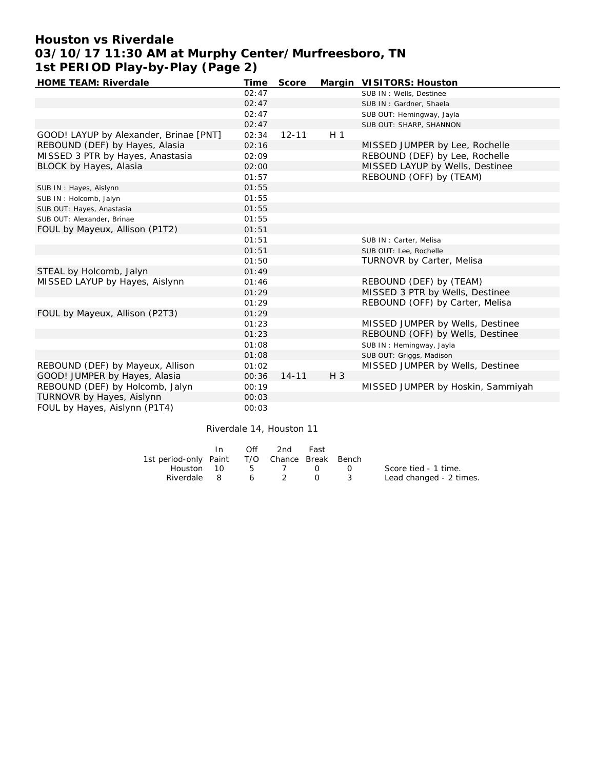## **Houston vs Riverdale 03/10/17 11:30 AM at Murphy Center/Murfreesboro, TN 1st PERIOD Play-by-Play (Page 2)**

| HOME TEAM: Riverdale                   | Time  | Score     |                | Margin VISITORS: Houston          |
|----------------------------------------|-------|-----------|----------------|-----------------------------------|
|                                        | 02:47 |           |                | SUB IN: Wells, Destinee           |
|                                        | 02:47 |           |                | SUB IN: Gardner, Shaela           |
|                                        | 02:47 |           |                | SUB OUT: Hemingway, Jayla         |
|                                        | 02:47 |           |                | SUB OUT: SHARP, SHANNON           |
| GOOD! LAYUP by Alexander, Brinae [PNT] | 02:34 | $12 - 11$ | H <sub>1</sub> |                                   |
| REBOUND (DEF) by Hayes, Alasia         | 02:16 |           |                | MISSED JUMPER by Lee, Rochelle    |
| MISSED 3 PTR by Hayes, Anastasia       | 02:09 |           |                | REBOUND (DEF) by Lee, Rochelle    |
| BLOCK by Hayes, Alasia                 | 02:00 |           |                | MISSED LAYUP by Wells, Destinee   |
|                                        | 01:57 |           |                | REBOUND (OFF) by (TEAM)           |
| SUB IN: Hayes, Aislynn                 | 01:55 |           |                |                                   |
| SUB IN: Holcomb, Jalyn                 | 01:55 |           |                |                                   |
| SUB OUT: Hayes, Anastasia              | 01:55 |           |                |                                   |
| SUB OUT: Alexander, Brinae             | 01:55 |           |                |                                   |
| FOUL by Mayeux, Allison (P1T2)         | 01:51 |           |                |                                   |
|                                        | 01:51 |           |                | SUB IN: Carter, Melisa            |
|                                        | 01:51 |           |                | SUB OUT: Lee, Rochelle            |
|                                        | 01:50 |           |                | <b>TURNOVR by Carter, Melisa</b>  |
| STEAL by Holcomb, Jalyn                | 01:49 |           |                |                                   |
| MISSED LAYUP by Hayes, Aislynn         | 01:46 |           |                | REBOUND (DEF) by (TEAM)           |
|                                        | 01:29 |           |                | MISSED 3 PTR by Wells, Destinee   |
|                                        | 01:29 |           |                | REBOUND (OFF) by Carter, Melisa   |
| FOUL by Mayeux, Allison (P2T3)         | 01:29 |           |                |                                   |
|                                        | 01:23 |           |                | MISSED JUMPER by Wells, Destinee  |
|                                        | 01:23 |           |                | REBOUND (OFF) by Wells, Destinee  |
|                                        | 01:08 |           |                | SUB IN: Hemingway, Jayla          |
|                                        | 01:08 |           |                | SUB OUT: Griggs, Madison          |
| REBOUND (DEF) by Mayeux, Allison       | 01:02 |           |                | MISSED JUMPER by Wells, Destinee  |
| GOOD! JUMPER by Hayes, Alasia          | 00:36 | $14 - 11$ | $H_3$          |                                   |
| REBOUND (DEF) by Holcomb, Jalyn        | 00:19 |           |                | MISSED JUMPER by Hoskin, Sammiyah |
| TURNOVR by Hayes, Aislynn              | 00:03 |           |                |                                   |
| FOUL by Hayes, Aislynn (P1T4)          | 00:03 |           |                |                                   |

Riverdale 14, Houston 11

|                                              | $\bigcirc$ ff | 2nd | Fast |                         |
|----------------------------------------------|---------------|-----|------|-------------------------|
| 1st period-only Paint T/O Chance Break Bench |               |     |      |                         |
| Houston 10 5 7 0 0                           |               |     |      | Score tied - 1 time.    |
| Riverdale 8 6 2 0 3                          |               |     |      | Lead changed - 2 times. |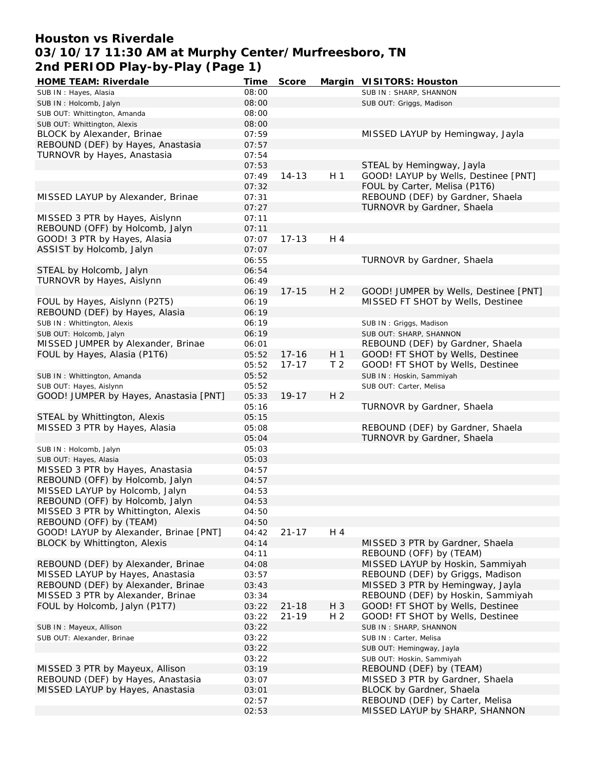### **Houston vs Riverdale 03/10/17 11:30 AM at Murphy Center/Murfreesboro, TN 2nd PERIOD Play-by-Play (Page 1)**

| HOME TEAM: Riverdale                   | <b>Time</b> | Score     |                | Margin VISITORS: Houston              |
|----------------------------------------|-------------|-----------|----------------|---------------------------------------|
| SUB IN: Hayes, Alasia                  | 08:00       |           |                | SUB IN: SHARP, SHANNON                |
| SUB IN: Holcomb, Jalyn                 | 08:00       |           |                | SUB OUT: Griggs, Madison              |
| SUB OUT: Whittington, Amanda           | 08:00       |           |                |                                       |
| SUB OUT: Whittington, Alexis           | 08:00       |           |                |                                       |
| BLOCK by Alexander, Brinae             | 07:59       |           |                | MISSED LAYUP by Hemingway, Jayla      |
| REBOUND (DEF) by Hayes, Anastasia      | 07:57       |           |                |                                       |
| TURNOVR by Hayes, Anastasia            | 07:54       |           |                |                                       |
|                                        | 07:53       |           |                | STEAL by Hemingway, Jayla             |
|                                        | 07:49       | $14 - 13$ | H <sub>1</sub> | GOOD! LAYUP by Wells, Destinee [PNT]  |
|                                        | 07:32       |           |                | FOUL by Carter, Melisa (P1T6)         |
| MISSED LAYUP by Alexander, Brinae      | 07:31       |           |                | REBOUND (DEF) by Gardner, Shaela      |
|                                        | 07:27       |           |                | TURNOVR by Gardner, Shaela            |
| MISSED 3 PTR by Hayes, Aislynn         | 07:11       |           |                |                                       |
| REBOUND (OFF) by Holcomb, Jalyn        |             |           |                |                                       |
|                                        | 07:11       |           | H 4            |                                       |
| GOOD! 3 PTR by Hayes, Alasia           | 07:07       | $17 - 13$ |                |                                       |
| ASSIST by Holcomb, Jalyn               | 07:07       |           |                |                                       |
|                                        | 06:55       |           |                | TURNOVR by Gardner, Shaela            |
| STEAL by Holcomb, Jalyn                | 06:54       |           |                |                                       |
| TURNOVR by Hayes, Aislynn              | 06:49       |           |                |                                       |
|                                        | 06:19       | $17 - 15$ | H <sub>2</sub> | GOOD! JUMPER by Wells, Destinee [PNT] |
| FOUL by Hayes, Aislynn (P2T5)          | 06:19       |           |                | MISSED FT SHOT by Wells, Destinee     |
| REBOUND (DEF) by Hayes, Alasia         | 06:19       |           |                |                                       |
| SUB IN: Whittington, Alexis            | 06:19       |           |                | SUB IN: Griggs, Madison               |
| SUB OUT: Holcomb, Jalyn                | 06:19       |           |                | SUB OUT: SHARP, SHANNON               |
| MISSED JUMPER by Alexander, Brinae     | 06:01       |           |                | REBOUND (DEF) by Gardner, Shaela      |
| FOUL by Hayes, Alasia (P1T6)           | 05:52       | $17 - 16$ | H <sub>1</sub> | GOOD! FT SHOT by Wells, Destinee      |
|                                        | 05:52       | $17 - 17$ | T <sub>2</sub> | GOOD! FT SHOT by Wells, Destinee      |
| SUB IN: Whittington, Amanda            | 05:52       |           |                | SUB IN: Hoskin, Sammiyah              |
| SUB OUT: Hayes, Aislynn                | 05:52       |           |                | SUB OUT: Carter, Melisa               |
| GOOD! JUMPER by Hayes, Anastasia [PNT] | 05:33       | $19 - 17$ | H <sub>2</sub> |                                       |
|                                        | 05:16       |           |                | TURNOVR by Gardner, Shaela            |
| STEAL by Whittington, Alexis           | 05:15       |           |                |                                       |
| MISSED 3 PTR by Hayes, Alasia          | 05:08       |           |                | REBOUND (DEF) by Gardner, Shaela      |
|                                        | 05:04       |           |                | TURNOVR by Gardner, Shaela            |
|                                        |             |           |                |                                       |
| SUB IN: Holcomb, Jalyn                 | 05:03       |           |                |                                       |
| SUB OUT: Hayes, Alasia                 | 05:03       |           |                |                                       |
| MISSED 3 PTR by Hayes, Anastasia       | 04:57       |           |                |                                       |
| REBOUND (OFF) by Holcomb, Jalyn        | 04:57       |           |                |                                       |
| MISSED LAYUP by Holcomb, Jalyn         | 04:53       |           |                |                                       |
| REBOUND (OFF) by Holcomb, Jalyn        | 04:53       |           |                |                                       |
| MISSED 3 PTR by Whittington, Alexis    | 04:50       |           |                |                                       |
| REBOUND (OFF) by (TEAM)                | 04:50       |           |                |                                       |
| GOOD! LAYUP by Alexander, Brinae [PNT] | 04:42       | $21 - 17$ | H 4            |                                       |
| BLOCK by Whittington, Alexis           | 04:14       |           |                | MISSED 3 PTR by Gardner, Shaela       |
|                                        | 04:11       |           |                | REBOUND (OFF) by (TEAM)               |
| REBOUND (DEF) by Alexander, Brinae     | 04:08       |           |                | MISSED LAYUP by Hoskin, Sammiyah      |
| MISSED LAYUP by Hayes, Anastasia       | 03:57       |           |                | REBOUND (DEF) by Griggs, Madison      |
| REBOUND (DEF) by Alexander, Brinae     | 03:43       |           |                | MISSED 3 PTR by Hemingway, Jayla      |
| MISSED 3 PTR by Alexander, Brinae      | 03:34       |           |                | REBOUND (DEF) by Hoskin, Sammiyah     |
| FOUL by Holcomb, Jalyn (P1T7)          | 03:22       | $21 - 18$ | $H_3$          | GOOD! FT SHOT by Wells, Destinee      |
|                                        | 03:22       | $21 - 19$ | H <sub>2</sub> | GOOD! FT SHOT by Wells, Destinee      |
| SUB IN: Mayeux, Allison                | 03:22       |           |                | SUB IN: SHARP, SHANNON                |
| SUB OUT: Alexander, Brinae             | 03:22       |           |                | SUB IN: Carter, Melisa                |
|                                        | 03:22       |           |                | SUB OUT: Hemingway, Jayla             |
|                                        | 03:22       |           |                | SUB OUT: Hoskin, Sammiyah             |
| MISSED 3 PTR by Mayeux, Allison        | 03:19       |           |                | REBOUND (DEF) by (TEAM)               |
| REBOUND (DEF) by Hayes, Anastasia      |             |           |                |                                       |
|                                        | 03:07       |           |                | MISSED 3 PTR by Gardner, Shaela       |
| MISSED LAYUP by Hayes, Anastasia       | 03:01       |           |                | BLOCK by Gardner, Shaela              |
|                                        | 02:57       |           |                | REBOUND (DEF) by Carter, Melisa       |
|                                        | 02:53       |           |                | MISSED LAYUP by SHARP, SHANNON        |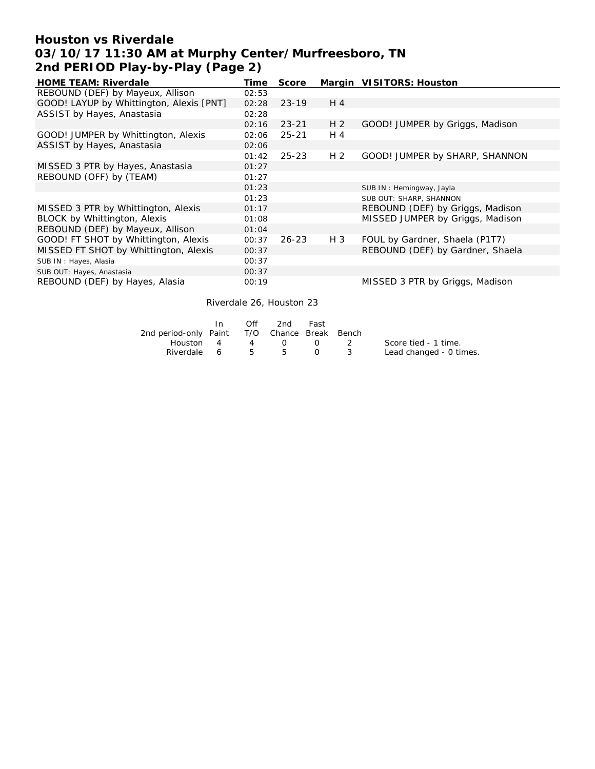## **Houston vs Riverdale 03/10/17 11:30 AM at Murphy Center/Murfreesboro, TN 2nd PERIOD Play-by-Play (Page 2)**

| <b>HOME TEAM: Riverdale</b>              | Time  | Score     |                | Margin VISITORS: Houston         |
|------------------------------------------|-------|-----------|----------------|----------------------------------|
| REBOUND (DEF) by Mayeux, Allison         | 02:53 |           |                |                                  |
| GOOD! LAYUP by Whittington, Alexis [PNT] | 02:28 | $23-19$   | $H_4$          |                                  |
| ASSIST by Hayes, Anastasia               | 02:28 |           |                |                                  |
|                                          | 02:16 | $23 - 21$ | H <sub>2</sub> | GOOD! JUMPER by Griggs, Madison  |
| GOOD! JUMPER by Whittington, Alexis      | 02:06 | $25 - 21$ | H 4            |                                  |
| ASSIST by Hayes, Anastasia               | 02:06 |           |                |                                  |
|                                          | 01:42 | $25 - 23$ | H 2            | GOOD! JUMPER by SHARP, SHANNON   |
| MISSED 3 PTR by Hayes, Anastasia         | 01:27 |           |                |                                  |
| REBOUND (OFF) by (TEAM)                  | 01:27 |           |                |                                  |
|                                          | 01:23 |           |                | SUB IN: Hemingway, Jayla         |
|                                          | 01:23 |           |                | SUB OUT: SHARP, SHANNON          |
| MISSED 3 PTR by Whittington, Alexis      | 01:17 |           |                | REBOUND (DEF) by Griggs, Madison |
| BLOCK by Whittington, Alexis             | 01:08 |           |                | MISSED JUMPER by Griggs, Madison |
| REBOUND (DEF) by Mayeux, Allison         | 01:04 |           |                |                                  |
| GOOD! FT SHOT by Whittington, Alexis     | 00:37 | 26-23     | H 3            | FOUL by Gardner, Shaela (P1T7)   |
| MISSED FT SHOT by Whittington, Alexis    | 00:37 |           |                | REBOUND (DEF) by Gardner, Shaela |
| SUB IN: Hayes, Alasia                    | 00:37 |           |                |                                  |
| SUB OUT: Hayes, Anastasia                | 00:37 |           |                |                                  |
| REBOUND (DEF) by Hayes, Alasia           | 00:19 |           |                | MISSED 3 PTR by Griggs, Madison  |

Riverdale 26, Houston 23

|                                              | In. | ∩ff | 2nd         | Fast     |                   |                         |
|----------------------------------------------|-----|-----|-------------|----------|-------------------|-------------------------|
| 2nd period-only Paint T/O Chance Break Bench |     |     |             |          |                   |                         |
| Houston 4                                    |     |     | 4 0         |          | $\Omega$ $\Omega$ | Score tied - 1 time.    |
| Riverdale 6 5                                |     |     | $5^{\circ}$ | $\Omega$ |                   | Lead changed - 0 times. |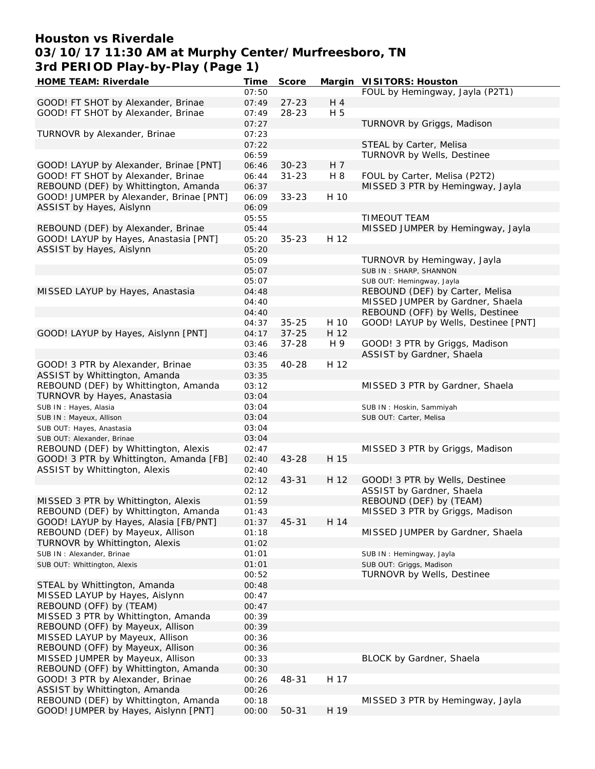## **Houston vs Riverdale 03/10/17 11:30 AM at Murphy Center/Murfreesboro, TN 3rd PERIOD Play-by-Play (Page 1)**

| HOME TEAM: Riverdale                    | Time  | Score     |      | Margin VISITORS: Houston             |
|-----------------------------------------|-------|-----------|------|--------------------------------------|
|                                         | 07:50 |           |      | FOUL by Hemingway, Jayla (P2T1)      |
| GOOD! FT SHOT by Alexander, Brinae      | 07:49 | $27 - 23$ | H 4  |                                      |
| GOOD! FT SHOT by Alexander, Brinae      | 07:49 | 28-23     | H 5  |                                      |
|                                         | 07:27 |           |      | TURNOVR by Griggs, Madison           |
| TURNOVR by Alexander, Brinae            | 07:23 |           |      |                                      |
|                                         |       |           |      |                                      |
|                                         | 07:22 |           |      | STEAL by Carter, Melisa              |
|                                         | 06:59 |           |      | TURNOVR by Wells, Destinee           |
| GOOD! LAYUP by Alexander, Brinae [PNT]  | 06:46 | $30 - 23$ | H 7  |                                      |
| GOOD! FT SHOT by Alexander, Brinae      | 06:44 | $31 - 23$ | H 8  | FOUL by Carter, Melisa (P2T2)        |
| REBOUND (DEF) by Whittington, Amanda    | 06:37 |           |      | MISSED 3 PTR by Hemingway, Jayla     |
| GOOD! JUMPER by Alexander, Brinae [PNT] | 06:09 | $33 - 23$ | H 10 |                                      |
| ASSIST by Hayes, Aislynn                | 06:09 |           |      |                                      |
|                                         | 05:55 |           |      | TIMEOUT TEAM                         |
|                                         |       |           |      |                                      |
| REBOUND (DEF) by Alexander, Brinae      | 05:44 |           |      | MISSED JUMPER by Hemingway, Jayla    |
| GOOD! LAYUP by Hayes, Anastasia [PNT]   | 05:20 | $35 - 23$ | H 12 |                                      |
| ASSIST by Hayes, Aislynn                | 05:20 |           |      |                                      |
|                                         | 05:09 |           |      | TURNOVR by Hemingway, Jayla          |
|                                         | 05:07 |           |      | SUB IN: SHARP, SHANNON               |
|                                         | 05:07 |           |      | SUB OUT: Hemingway, Jayla            |
| MISSED LAYUP by Hayes, Anastasia        | 04:48 |           |      | REBOUND (DEF) by Carter, Melisa      |
|                                         | 04:40 |           |      | MISSED JUMPER by Gardner, Shaela     |
|                                         | 04:40 |           |      | REBOUND (OFF) by Wells, Destinee     |
|                                         |       |           |      |                                      |
|                                         | 04:37 | $35 - 25$ | H 10 | GOOD! LAYUP by Wells, Destinee [PNT] |
| GOOD! LAYUP by Hayes, Aislynn [PNT]     | 04:17 | $37 - 25$ | H 12 |                                      |
|                                         | 03:46 | $37 - 28$ | H 9  | GOOD! 3 PTR by Griggs, Madison       |
|                                         | 03:46 |           |      | ASSIST by Gardner, Shaela            |
| GOOD! 3 PTR by Alexander, Brinae        | 03:35 | 40-28     | H 12 |                                      |
| ASSIST by Whittington, Amanda           | 03:35 |           |      |                                      |
| REBOUND (DEF) by Whittington, Amanda    | 03:12 |           |      | MISSED 3 PTR by Gardner, Shaela      |
| TURNOVR by Hayes, Anastasia             | 03:04 |           |      |                                      |
|                                         | 03:04 |           |      |                                      |
| SUB IN: Hayes, Alasia                   |       |           |      | SUB IN: Hoskin, Sammiyah             |
| SUB IN: Mayeux, Allison                 | 03:04 |           |      | SUB OUT: Carter, Melisa              |
| SUB OUT: Hayes, Anastasia               | 03:04 |           |      |                                      |
| SUB OUT: Alexander, Brinae              | 03:04 |           |      |                                      |
| REBOUND (DEF) by Whittington, Alexis    | 02:47 |           |      | MISSED 3 PTR by Griggs, Madison      |
| GOOD! 3 PTR by Whittington, Amanda [FB] | 02:40 | $43 - 28$ | H 15 |                                      |
| ASSIST by Whittington, Alexis           | 02:40 |           |      |                                      |
|                                         | 02:12 | $43 - 31$ | H 12 | GOOD! 3 PTR by Wells, Destinee       |
|                                         | 02:12 |           |      | ASSIST by Gardner, Shaela            |
| MISSED 3 PTR by Whittington, Alexis     | 01:59 |           |      | REBOUND (DEF) by (TEAM)              |
|                                         |       |           |      |                                      |
| REBOUND (DEF) by Whittington, Amanda    | 01:43 |           |      | MISSED 3 PTR by Griggs, Madison      |
| GOOD! LAYUP by Hayes, Alasia [FB/PNT]   | 01:37 | $45 - 31$ | H 14 |                                      |
| REBOUND (DEF) by Mayeux, Allison        | 01:18 |           |      | MISSED JUMPER by Gardner, Shaela     |
| TURNOVR by Whittington, Alexis          | 01:02 |           |      |                                      |
| SUB IN: Alexander, Brinae               | 01:01 |           |      | SUB IN: Hemingway, Jayla             |
| SUB OUT: Whittington, Alexis            | 01:01 |           |      | SUB OUT: Griggs, Madison             |
|                                         | 00:52 |           |      | TURNOVR by Wells, Destinee           |
| STEAL by Whittington, Amanda            | 00:48 |           |      |                                      |
|                                         | 00:47 |           |      |                                      |
| MISSED LAYUP by Hayes, Aislynn          |       |           |      |                                      |
| REBOUND (OFF) by (TEAM)                 | 00:47 |           |      |                                      |
| MISSED 3 PTR by Whittington, Amanda     | 00:39 |           |      |                                      |
| REBOUND (OFF) by Mayeux, Allison        | 00:39 |           |      |                                      |
| MISSED LAYUP by Mayeux, Allison         | 00:36 |           |      |                                      |
| REBOUND (OFF) by Mayeux, Allison        | 00:36 |           |      |                                      |
| MISSED JUMPER by Mayeux, Allison        | 00:33 |           |      | BLOCK by Gardner, Shaela             |
| REBOUND (OFF) by Whittington, Amanda    | 00:30 |           |      |                                      |
|                                         |       |           | H 17 |                                      |
| GOOD! 3 PTR by Alexander, Brinae        | 00:26 | 48-31     |      |                                      |
| ASSIST by Whittington, Amanda           | 00:26 |           |      |                                      |
| REBOUND (DEF) by Whittington, Amanda    | 00:18 |           |      | MISSED 3 PTR by Hemingway, Jayla     |
| GOOD! JUMPER by Hayes, Aislynn [PNT]    | 00:00 | 50-31     | H 19 |                                      |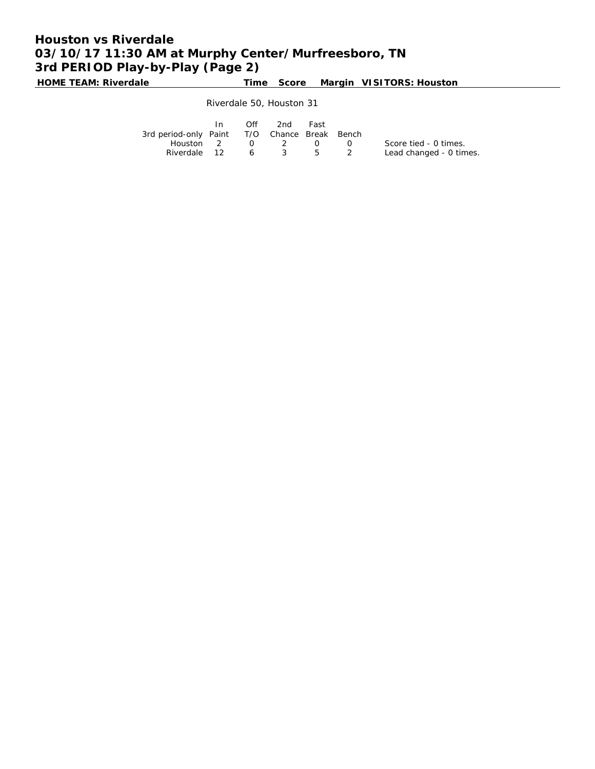# **Houston vs Riverdale 03/10/17 11:30 AM at Murphy Center/Murfreesboro, TN 3rd PERIOD Play-by-Play (Page 2)**

**HOME TEAM: Riverdale Time Score Margin VISITORS: Houston**

Riverdale 50, Houston 31

|                                              | Off | 2nd | Fast      |              |                         |
|----------------------------------------------|-----|-----|-----------|--------------|-------------------------|
| 3rd period-only Paint T/O Chance Break Bench |     |     |           |              |                         |
| Houston $2 \t 0 \t 2$                        |     |     | $\bigcap$ | $\mathbf{0}$ | Score tied - 0 times.   |
| Riverdale 12 6 3 5 2                         |     |     |           |              | Lead changed - 0 times. |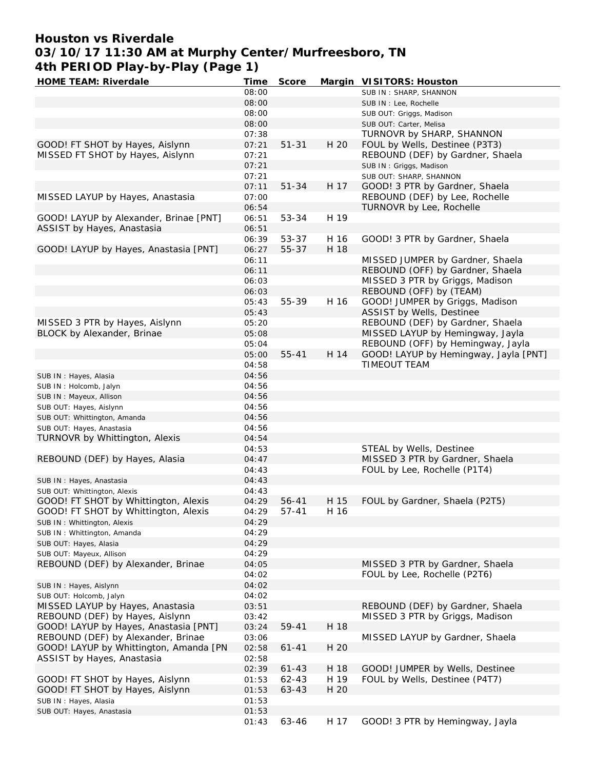## **Houston vs Riverdale 03/10/17 11:30 AM at Murphy Center/Murfreesboro, TN 4th PERIOD Play-by-Play (Page 1)**

| HOME TEAM: Riverdale                   | Time  | Score     |      | Margin VISITORS: Houston              |
|----------------------------------------|-------|-----------|------|---------------------------------------|
|                                        | 08:00 |           |      | SUB IN: SHARP, SHANNON                |
|                                        | 08:00 |           |      | SUB IN : Lee, Rochelle                |
|                                        | 08:00 |           |      | SUB OUT: Griggs, Madison              |
|                                        | 08:00 |           |      | SUB OUT: Carter, Melisa               |
|                                        | 07:38 |           |      | TURNOVR by SHARP, SHANNON             |
| GOOD! FT SHOT by Hayes, Aislynn        | 07:21 | $51 - 31$ | H 20 | FOUL by Wells, Destinee (P3T3)        |
| MISSED FT SHOT by Hayes, Aislynn       | 07:21 |           |      | REBOUND (DEF) by Gardner, Shaela      |
|                                        | 07:21 |           |      | SUB IN: Griggs, Madison               |
|                                        | 07:21 |           |      | SUB OUT: SHARP, SHANNON               |
|                                        | 07:11 | $51 - 34$ | H 17 | GOOD! 3 PTR by Gardner, Shaela        |
| MISSED LAYUP by Hayes, Anastasia       | 07:00 |           |      | REBOUND (DEF) by Lee, Rochelle        |
|                                        | 06:54 |           |      | TURNOVR by Lee, Rochelle              |
| GOOD! LAYUP by Alexander, Brinae [PNT] | 06:51 | 53-34     | H 19 |                                       |
| ASSIST by Hayes, Anastasia             | 06:51 |           |      |                                       |
|                                        | 06:39 | 53-37     | H 16 | GOOD! 3 PTR by Gardner, Shaela        |
| GOOD! LAYUP by Hayes, Anastasia [PNT]  | 06:27 | 55-37     | H 18 |                                       |
|                                        | 06:11 |           |      | MISSED JUMPER by Gardner, Shaela      |
|                                        | 06:11 |           |      | REBOUND (OFF) by Gardner, Shaela      |
|                                        |       |           |      | MISSED 3 PTR by Griggs, Madison       |
|                                        | 06:03 |           |      |                                       |
|                                        | 06:03 |           |      | REBOUND (OFF) by (TEAM)               |
|                                        | 05:43 | 55-39     | H 16 | GOOD! JUMPER by Griggs, Madison       |
|                                        | 05:43 |           |      | ASSIST by Wells, Destinee             |
| MISSED 3 PTR by Hayes, Aislynn         | 05:20 |           |      | REBOUND (DEF) by Gardner, Shaela      |
| BLOCK by Alexander, Brinae             | 05:08 |           |      | MISSED LAYUP by Hemingway, Jayla      |
|                                        | 05:04 |           |      | REBOUND (OFF) by Hemingway, Jayla     |
|                                        | 05:00 | $55 - 41$ | H 14 | GOOD! LAYUP by Hemingway, Jayla [PNT] |
|                                        | 04:58 |           |      | TIMEOUT TEAM                          |
| SUB IN : Hayes, Alasia                 | 04:56 |           |      |                                       |
| SUB IN: Holcomb, Jalyn                 | 04:56 |           |      |                                       |
| SUB IN: Mayeux, Allison                | 04:56 |           |      |                                       |
| SUB OUT: Hayes, Aislynn                | 04:56 |           |      |                                       |
| SUB OUT: Whittington, Amanda           | 04:56 |           |      |                                       |
| SUB OUT: Hayes, Anastasia              | 04:56 |           |      |                                       |
| TURNOVR by Whittington, Alexis         | 04:54 |           |      |                                       |
|                                        | 04:53 |           |      | STEAL by Wells, Destinee              |
| REBOUND (DEF) by Hayes, Alasia         | 04:47 |           |      | MISSED 3 PTR by Gardner, Shaela       |
|                                        | 04:43 |           |      | FOUL by Lee, Rochelle (P1T4)          |
| SUB IN: Hayes, Anastasia               | 04:43 |           |      |                                       |
| SUB OUT: Whittington, Alexis           | 04:43 |           |      |                                       |
| GOOD! FT SHOT by Whittington, Alexis   | 04:29 | $56 - 41$ | H 15 | FOUL by Gardner, Shaela (P2T5)        |
| GOOD! FT SHOT by Whittington, Alexis   | 04:29 | $57 - 41$ | H 16 |                                       |
| SUB IN: Whittington, Alexis            | 04:29 |           |      |                                       |
| SUB IN: Whittington, Amanda            | 04:29 |           |      |                                       |
| SUB OUT: Hayes, Alasia                 | 04:29 |           |      |                                       |
| SUB OUT: Mayeux, Allison               | 04:29 |           |      |                                       |
| REBOUND (DEF) by Alexander, Brinae     | 04:05 |           |      | MISSED 3 PTR by Gardner, Shaela       |
|                                        | 04:02 |           |      | FOUL by Lee, Rochelle (P2T6)          |
| SUB IN: Hayes, Aislynn                 | 04:02 |           |      |                                       |
| SUB OUT: Holcomb, Jalyn                | 04:02 |           |      |                                       |
| MISSED LAYUP by Hayes, Anastasia       | 03:51 |           |      | REBOUND (DEF) by Gardner, Shaela      |
| REBOUND (DEF) by Hayes, Aislynn        | 03:42 |           |      | MISSED 3 PTR by Griggs, Madison       |
| GOOD! LAYUP by Hayes, Anastasia [PNT]  | 03:24 | 59-41     | H 18 |                                       |
|                                        |       |           |      | MISSED LAYUP by Gardner, Shaela       |
| REBOUND (DEF) by Alexander, Brinae     | 03:06 |           |      |                                       |
| GOOD! LAYUP by Whittington, Amanda [PN | 02:58 | $61 - 41$ | H 20 |                                       |
| ASSIST by Hayes, Anastasia             | 02:58 |           |      |                                       |
|                                        | 02:39 | $61 - 43$ | H 18 | GOOD! JUMPER by Wells, Destinee       |
| GOOD! FT SHOT by Hayes, Aislynn        | 01:53 | $62 - 43$ | H 19 | FOUL by Wells, Destinee (P4T7)        |
| GOOD! FT SHOT by Hayes, Aislynn        | 01:53 | 63-43     | H 20 |                                       |
| SUB IN: Hayes, Alasia                  | 01:53 |           |      |                                       |
| SUB OUT: Hayes, Anastasia              | 01:53 |           |      |                                       |
|                                        | 01:43 | 63-46     | H 17 | GOOD! 3 PTR by Hemingway, Jayla       |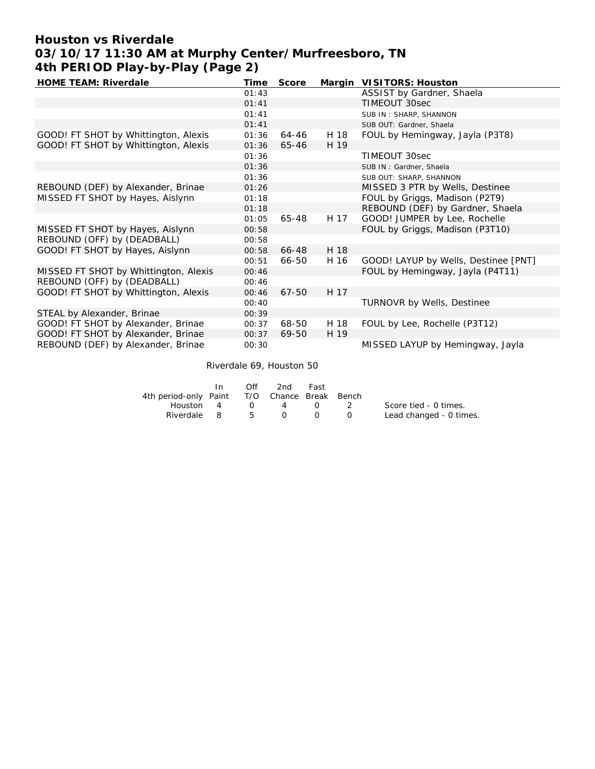## **Houston vs Riverdale 03/10/17 11:30 AM at Murphy Center/Murfreesboro, TN 4th PERIOD Play-by-Play (Page 2)**

| HOME TEAM: Riverdale                  | Time  | Score     |      | Margin VISITORS: Houston             |
|---------------------------------------|-------|-----------|------|--------------------------------------|
|                                       | 01:43 |           |      | ASSIST by Gardner, Shaela            |
|                                       | 01:41 |           |      | TIMEOUT 30sec                        |
|                                       | 01:41 |           |      | SUB IN: SHARP, SHANNON               |
|                                       | 01:41 |           |      | SUB OUT: Gardner, Shaela             |
| GOOD! FT SHOT by Whittington, Alexis  | 01:36 | 64-46     | H 18 | FOUL by Hemingway, Jayla (P3T8)      |
| GOOD! FT SHOT by Whittington, Alexis  | 01:36 | 65-46     | H 19 |                                      |
|                                       | 01:36 |           |      | TIMEOUT 30sec                        |
|                                       | 01:36 |           |      | SUB IN: Gardner, Shaela              |
|                                       | 01:36 |           |      | SUB OUT: SHARP, SHANNON              |
| REBOUND (DEF) by Alexander, Brinae    | 01:26 |           |      | MISSED 3 PTR by Wells, Destinee      |
| MISSED FT SHOT by Hayes, Aislynn      | 01:18 |           |      | FOUL by Griggs, Madison (P2T9)       |
|                                       | 01:18 |           |      | REBOUND (DEF) by Gardner, Shaela     |
|                                       | 01:05 | 65-48     | H 17 | GOOD! JUMPER by Lee, Rochelle        |
| MISSED FT SHOT by Hayes, Aislynn      | 00:58 |           |      | FOUL by Griggs, Madison (P3T10)      |
| REBOUND (OFF) by (DEADBALL)           | 00:58 |           |      |                                      |
| GOOD! FT SHOT by Hayes, Aislynn       | 00:58 | 66-48     | H 18 |                                      |
|                                       | 00:51 | 66-50     | H 16 | GOOD! LAYUP by Wells, Destinee [PNT] |
| MISSED FT SHOT by Whittington, Alexis | 00:46 |           |      | FOUL by Hemingway, Jayla (P4T11)     |
| REBOUND (OFF) by (DEADBALL)           | 00:46 |           |      |                                      |
| GOOD! FT SHOT by Whittington, Alexis  | 00:46 | $67 - 50$ | H 17 |                                      |
|                                       | 00:40 |           |      | TURNOVR by Wells, Destinee           |
| STEAL by Alexander, Brinae            | 00:39 |           |      |                                      |
| GOOD! FT SHOT by Alexander, Brinae    | 00:37 | 68-50     | H 18 | FOUL by Lee, Rochelle (P3T12)        |
| GOOD! FT SHOT by Alexander, Brinae    | 00:37 | 69-50     | H 19 |                                      |
| REBOUND (DEF) by Alexander, Brinae    | 00:30 |           |      | MISSED LAYUP by Hemingway, Jayla     |

Riverdale 69, Houston 50

|                                              | In In | Off      | 2nd      | Fast             |                          |                         |
|----------------------------------------------|-------|----------|----------|------------------|--------------------------|-------------------------|
| 4th period-only Paint T/O Chance Break Bench |       |          |          |                  |                          |                         |
| Houston 4                                    |       | $\Omega$ | 4        | $\left( \right)$ | $\overline{\phantom{a}}$ | Score tied - 0 times.   |
| Riverdale 8 5                                |       |          | $\Omega$ | $\left( \right)$ | $\left( \right)$         | Lead changed - 0 times. |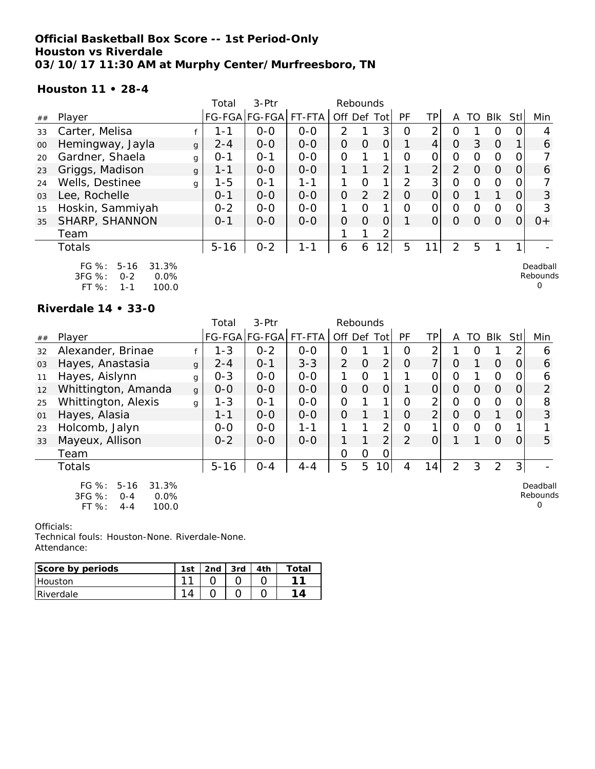### **Official Basketball Box Score -- 1st Period-Only Houston vs Riverdale 03/10/17 11:30 AM at Murphy Center/Murfreesboro, TN**

**Houston 11 • 28-4**

|    |                                                                                           |   | Total    | $3-Ptr$              |         |                | Rebounds |                |          |                |          |          |          |          |                                  |
|----|-------------------------------------------------------------------------------------------|---|----------|----------------------|---------|----------------|----------|----------------|----------|----------------|----------|----------|----------|----------|----------------------------------|
| ## | Player                                                                                    |   |          | FG-FGA FG-FGA FT-FTA |         | Off Def Tot    |          |                | PF       | TP             | A        | TO       | Blk      | Stl      | Min                              |
| 33 | Carter, Melisa                                                                            |   | 1-1      | $0 - 0$              | $0 - 0$ | $\mathcal{P}$  |          | 3              | $\Omega$ | 2              | O        |          | $\Omega$ |          | 4                                |
| 00 | Hemingway, Jayla                                                                          | g | $2 - 4$  | $0-0$                | $0-0$   | 0              | 0        | 0              |          | $\overline{4}$ | $\Omega$ | 3        | $\Omega$ |          | 6                                |
| 20 | Gardner, Shaela                                                                           | g | $O - 1$  | $O - 1$              | $0 - 0$ | 0              |          |                | $\Omega$ | 0              | $\Omega$ | $\Omega$ | $\Omega$ | O        |                                  |
| 23 | Griggs, Madison                                                                           | g | 1-1      | $0 - 0$              | $0-0$   |                |          | $\overline{2}$ |          | 2              | 2        | $\Omega$ | $\Omega$ | $\Omega$ | 6                                |
| 24 | Wells, Destinee                                                                           | g | $1 - 5$  | $O - 1$              | 1-1     |                | $\Omega$ |                | 2        | 3 <sup>1</sup> | $\Omega$ | $\Omega$ | $\Omega$ | O        |                                  |
| 03 | Lee, Rochelle                                                                             |   | $O - 1$  | $0-0$                | $0 - 0$ | $\overline{O}$ | 2        | 2              | $\Omega$ | $\overline{O}$ | $\Omega$ |          |          | 0        | 3                                |
| 15 | Hoskin, Sammiyah                                                                          |   | $0 - 2$  | $0 - 0$              | $0 - 0$ | 1              | $\Omega$ |                | $\Omega$ | 0              | $\Omega$ | $\Omega$ | $\Omega$ | $\Omega$ | 3                                |
| 35 | SHARP, SHANNON                                                                            |   | $0 - 1$  | $0 - 0$              | $0 - 0$ | 0              | $\Omega$ | $\overline{O}$ |          | $\Omega$       | $\Omega$ | $\Omega$ | $\Omega$ | $\Omega$ | $0+$                             |
|    | Team                                                                                      |   |          |                      |         |                |          |                |          |                |          |          |          |          |                                  |
|    | <b>Totals</b>                                                                             |   | $5 - 16$ | $0 - 2$              | 1-1     | 6              | 6        | 12             | 5        | 11             | 2        | 5        |          |          |                                  |
|    | $FG \%$ :<br>$5 - 16$<br>31.3%<br>3FG %:<br>$0 - 2$<br>$0.0\%$<br>$FT%$ :<br>100.0<br>1-1 |   |          |                      |         |                |          |                |          |                |          |          |          |          | Deadball<br>Rebounds<br>$\Omega$ |

**Riverdale 14 • 33-0**

|    |                                                                                     |              | Total    | $3-$ Ptr      |         | Rebounds       |                |                 |                |                |                |                  |                |          |                           |
|----|-------------------------------------------------------------------------------------|--------------|----------|---------------|---------|----------------|----------------|-----------------|----------------|----------------|----------------|------------------|----------------|----------|---------------------------|
| ## | Player                                                                              |              |          | FG-FGA FG-FGA | FT-FTA  | Off Def Tot    |                |                 | PF             | TP             | A              | TO               | Blk            | Stl      | Min                       |
| 32 | Alexander, Brinae                                                                   |              | $1 - 3$  | $0 - 2$       | $0 - 0$ | Ο              |                |                 | 0              | 2              |                | $\left( \right)$ |                |          | 6                         |
| 03 | Hayes, Anastasia                                                                    | $\mathbf{q}$ | $2 - 4$  | $O - 1$       | $3 - 3$ | $\overline{2}$ | $\overline{O}$ | $\overline{2}$  | $\Omega$       | 7 <sub>1</sub> | $\Omega$       |                  | $\Omega$       | $\Omega$ | 6                         |
| 11 | Hayes, Aislynn                                                                      | $\mathbf{q}$ | $0 - 3$  | $0 - 0$       | $0 - 0$ |                | 0              |                 |                | 0              | 0              |                  | $\circ$        |          | 6                         |
| 12 | Whittington, Amanda                                                                 | $\mathbf{q}$ | $0-0$    | $0-0$         | $0 - 0$ | $\overline{O}$ | $\Omega$       | $\overline{O}$  |                | O              | $\Omega$       | $\Omega$         | $\overline{O}$ | O        | $\overline{2}$            |
| 25 | Whittington, Alexis                                                                 | g            | $1 - 3$  | $O - 1$       | $O-O$   | 0              |                | 1               | $\Omega$       | $\overline{2}$ | 0              | 0                | $\Omega$       |          | 8                         |
| 01 | Hayes, Alasia                                                                       |              | $1 - 1$  | $0 - 0$       | $0 - 0$ | $\Omega$       |                | 1 <sub>1</sub>  | $\Omega$       | 2 <sub>1</sub> | $\Omega$       | $\Omega$         |                |          | 3                         |
| 23 | Holcomb, Jalyn                                                                      |              | $0-0$    | $0-0$         | 1-1     | 1.             | 1              | 2 <sub>1</sub>  | O              | 1 <sub>i</sub> | 0              | $\Omega$         | $\Omega$       |          |                           |
| 33 | Mayeux, Allison                                                                     |              | $0 - 2$  | $O-O$         | $0-0$   | 1.             |                | $\overline{2}$  | $\overline{2}$ | $\overline{O}$ |                |                  | $\Omega$       | $\Omega$ | 5                         |
|    | Team                                                                                |              |          |               |         | 0              | 0              | 0               |                |                |                |                  |                |          |                           |
|    | Totals                                                                              |              | $5 - 16$ | $O - 4$       | $4 - 4$ | 5              | 5              | 10 <sup>1</sup> | 4              | 14             | $\overline{2}$ | 3                | 2              | 3        |                           |
|    | FG $%$ :<br>$5 - 16$<br>31.3%<br>3FG %:<br>0.0%<br>$0 - 4$<br>FT %:<br>100.0<br>4-4 |              |          |               |         |                |                |                 |                |                |                |                  |                |          | Deadball<br>Rebounds<br>0 |

Officials:

| Score by periods | 1st    | 3rd | Total |
|------------------|--------|-----|-------|
| l Houston        | $\sim$ |     |       |
| Riverdale        |        |     |       |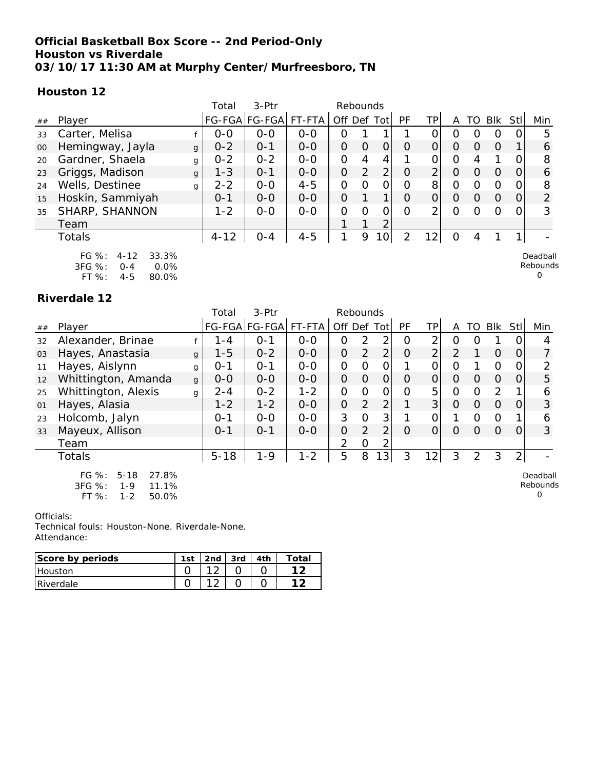### **Official Basketball Box Score -- 2nd Period-Only Houston vs Riverdale 03/10/17 11:30 AM at Murphy Center/Murfreesboro, TN**

**Houston 12**

|    |                                                                                      |              | Total    | $3-Ptr$               |         | Rebounds    |   |                 |          |                |          |          |          |          |                                  |
|----|--------------------------------------------------------------------------------------|--------------|----------|-----------------------|---------|-------------|---|-----------------|----------|----------------|----------|----------|----------|----------|----------------------------------|
| ## | Player                                                                               |              |          | FG-FGA FG-FGA  FT-FTA |         | Off Def Tot |   |                 | PF       | ΤP             | Α        | TO       | Blk      | Stll     | Min                              |
| 33 | Carter, Melisa                                                                       |              | $0 - 0$  | $0 - 0$               | $0 - 0$ | 0           |   |                 |          |                | 0        |          | O        |          | 5                                |
| 00 | Hemingway, Jayla                                                                     | $\mathbf{q}$ | $0 - 2$  | $0 - 1$               | $0-0$   | 0           | 0 | $\overline{O}$  | $\Omega$ | 0              | $\Omega$ | $\Omega$ | $\Omega$ |          | 6                                |
| 20 | Gardner, Shaela                                                                      | g            | $0 - 2$  | $0 - 2$               | $0 - 0$ | 0           | 4 | 4               |          |                | 0        | 4        |          |          | 8                                |
| 23 | Griggs, Madison                                                                      | $\mathbf{q}$ | $1 - 3$  | $0 - 1$               | $0 - 0$ | 0           | 2 | $\overline{2}$  | $\Omega$ | $\overline{2}$ | $\Omega$ | $\Omega$ | $\Omega$ | $\Omega$ | 6                                |
| 24 | Wells, Destinee                                                                      | g            | $2 - 2$  | $0 - 0$               | $4 - 5$ | 0           | Ω | 0               | $\Omega$ | 8              | 0        | $\Omega$ | $\Omega$ |          | 8                                |
| 15 | Hoskin, Sammiyah                                                                     |              | $0 - 1$  | $0 - 0$               | $0 - 0$ | $\Omega$    |   | 1.              | $\Omega$ | $\Omega$       | $\Omega$ | $\Omega$ | $\Omega$ | 0        | $\overline{2}$                   |
| 35 | SHARP, SHANNON                                                                       |              | $1 - 2$  | $0-0$                 | $0-0$   | 0           | O | 0               | $\Omega$ | 2              | $\Omega$ |          | $\Omega$ |          | 3                                |
|    | Team                                                                                 |              |          |                       |         |             |   | 2               |          |                |          |          |          |          |                                  |
|    | Totals                                                                               |              | $4 - 12$ | $0 - 4$               | $4 - 5$ |             | 9 | 10 <sup>1</sup> | 2        | $\overline{2}$ | $\Omega$ | 4        |          |          |                                  |
|    | FG %:<br>$4 - 12$<br>33.3%<br>3FG %:<br>0.0%<br>$O - 4$<br>FT %:<br>$4 - 5$<br>80.0% |              |          |                       |         |             |   |                 |          |                |          |          |          |          | Deadball<br>Rebounds<br>$\Omega$ |

#### **Riverdale 12**

|    |                                                                                       |   | Total    | $3-Ptr$       |         | Rebounds       |                |                 |          |                 |                |                |                |                |                                  |
|----|---------------------------------------------------------------------------------------|---|----------|---------------|---------|----------------|----------------|-----------------|----------|-----------------|----------------|----------------|----------------|----------------|----------------------------------|
| ## | Player                                                                                |   |          | FG-FGA FG-FGA | FT-FTA  | Off Def Tot    |                |                 | PF       | ΤP              | A              | TO             | <b>BIK</b>     | Stl            | Min                              |
| 32 | Alexander, Brinae                                                                     |   | 1 - 4    | $O - 1$       | $0 - 0$ | 0              | 2              | 2               | $\Omega$ | 2               | O              | $\Omega$       |                | O              | 4                                |
| 03 | Hayes, Anastasia                                                                      | g | $1 - 5$  | $0 - 2$       | $O-O$   | $\overline{O}$ | $\overline{2}$ | $\overline{2}$  | $\Omega$ | $\overline{2}$  | $\overline{2}$ |                | $\Omega$       | $\overline{O}$ | 7                                |
| 11 | Hayes, Aislynn                                                                        | g | $O - 1$  | $0 - 1$       | $0 - 0$ | $\Omega$       | 0              | 0               |          | $\overline{O}$  | O              |                | $\Omega$       | 0              | 2                                |
| 12 | Whittington, Amanda                                                                   | g | $0 - 0$  | $0 - 0$       | $O-O$   | $\Omega$       | $\Omega$       | $\Omega$        | $\Omega$ | $\Omega$        | $\Omega$       | $\Omega$       | $\Omega$       | $\Omega$       | 5                                |
| 25 | Whittington, Alexis                                                                   | q | $2 - 4$  | $0 - 2$       | $1 - 2$ | $\Omega$       | $\Omega$       | 0               | $\Omega$ | 5               | O              | $\Omega$       | $\overline{2}$ |                | 6                                |
| 01 | Hayes, Alasia                                                                         |   | $1 - 2$  | $1 - 2$       | $0 - 0$ | $\Omega$       | 2              | $\overline{2}$  |          | 3               | $\Omega$       | $\Omega$       | $\Omega$       | 0              | 3                                |
| 23 | Holcomb, Jalyn                                                                        |   | $0 - 1$  | $0 - 0$       | $0 - 0$ | 3              | $\Omega$       | 3               |          |                 |                | $\circ$        | $\Omega$       |                | 6                                |
| 33 | Mayeux, Allison                                                                       |   | $0 - 1$  | $O - 1$       | $0 - 0$ | $\Omega$       | 2              | 2               | $\Omega$ | $\Omega$        | $\Omega$       | $\Omega$       | $\Omega$       | 0              | 3                                |
|    | Team                                                                                  |   |          |               |         | 2              | $\Omega$       |                 |          |                 |                |                |                |                |                                  |
|    | Totals                                                                                |   | $5 - 18$ | $1 - 9$       | $1 - 2$ | 5              | 8              | 13 <sub>1</sub> | 3        | 12 <sub>1</sub> | 3              | $\overline{2}$ | 3              | $\overline{2}$ |                                  |
|    | FG %:<br>$5 - 18$<br>27.8%<br>3FG %:<br>11.1%<br>$1 - 9$<br>FT %:<br>$1 - 2$<br>50.0% |   |          |               |         |                |                |                 |          |                 |                |                |                |                | Deadball<br><b>Rebounds</b><br>0 |

Officials:

| Score by periods | 1st | 2 <sub>nd</sub> | <b>3rd</b> | `ota |
|------------------|-----|-----------------|------------|------|
| Houston          |     |                 |            |      |
| Riverdale        |     |                 |            |      |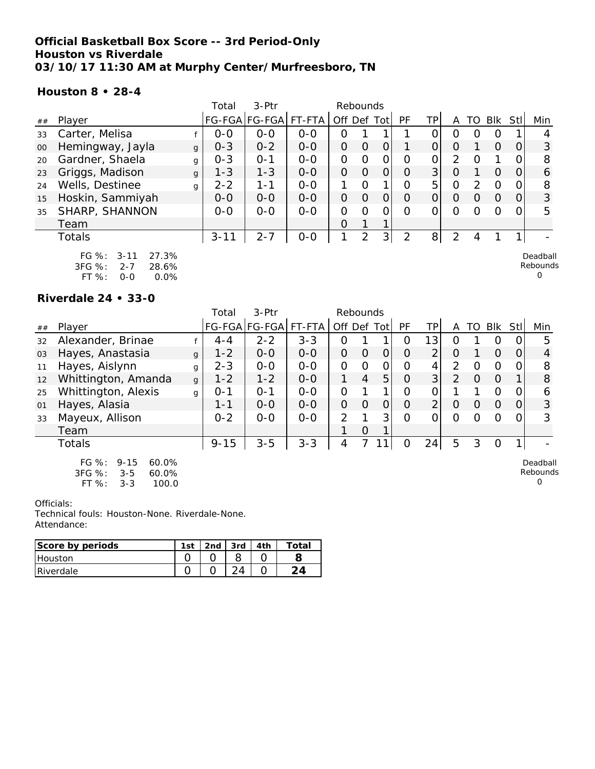### **Official Basketball Box Score -- 3rd Period-Only Houston vs Riverdale 03/10/17 11:30 AM at Murphy Center/Murfreesboro, TN**

### **Houston 8 • 28-4**

|    |                                                                                          |   | Total    | $3-Ptr$              |         |                | Rebounds       |             |          |                |          |               |          |             |                                  |
|----|------------------------------------------------------------------------------------------|---|----------|----------------------|---------|----------------|----------------|-------------|----------|----------------|----------|---------------|----------|-------------|----------------------------------|
| ## | Player                                                                                   |   |          | FG-FGA FG-FGA FT-FTA |         |                |                | Off Def Tot | PF       | ΤP             | Α        | TO            | Blk      | <b>StII</b> | Min                              |
| 33 | Carter, Melisa                                                                           |   | $O-O$    | $0 - 0$              | $O - O$ | O              |                |             |          |                | O        |               | $\Omega$ |             | 4                                |
| 00 | Hemingway, Jayla                                                                         | g | $0 - 3$  | $0 - 2$              | $0 - 0$ | $\overline{O}$ | $\Omega$       | O           |          | $\Omega$       | $\Omega$ |               | $\Omega$ | $\Omega$    | 3                                |
| 20 | Gardner, Shaela                                                                          | g | $0 - 3$  | $0 - 1$              | $0-0$   | 0              | 0              | O           | $\Omega$ | 0              | 2        |               |          |             | 8                                |
| 23 | Griggs, Madison                                                                          | g | $1 - 3$  | $1 - 3$              | $0 - 0$ | 0              | $\Omega$       | O           | $\Omega$ | 3 <sup>1</sup> | O        |               | $\Omega$ |             | 6                                |
| 24 | Wells, Destinee                                                                          | q | $2 - 2$  | 1-1                  | $O - O$ |                | $\Omega$       |             | $\Omega$ | 5              | $\Omega$ | $\mathcal{P}$ | $\Omega$ |             | 8                                |
| 15 | Hoskin, Sammiyah                                                                         |   | $O-O$    | $0 - 0$              | $0 - 0$ | $\overline{O}$ | $\Omega$       | $\Omega$    | $\Omega$ | $\Omega$       | $\Omega$ | $\Omega$      | $\Omega$ | 0           | 3                                |
| 35 | SHARP, SHANNON                                                                           |   | $0 - 0$  | $0 - 0$              | $O - O$ | 0              | 0              | 0           | ∩        |                | $\Omega$ |               | $\Omega$ |             | 5                                |
|    | Team                                                                                     |   |          |                      |         | 0              |                |             |          |                |          |               |          |             |                                  |
|    | Totals                                                                                   |   | $3 - 11$ | $2 - 7$              | $O-O$   |                | $\overline{2}$ | 3           | 2        | 8              | 2        | 4             |          |             |                                  |
|    | $FG \%$ :<br>27.3%<br>$3 - 11$<br>3FG %:<br>$2 - 7$<br>28.6%<br>FT %:<br>0.0%<br>$O - O$ |   |          |                      |         |                |                |             |          |                |          |               |          |             | Deadball<br>Rebounds<br>$\Omega$ |

#### **Riverdale 24 • 33-0**

|    |                                                                                           |   | Total    | 3-Ptr         |         | Rebounds       |          |                |          |                |                |          |          |          |                           |
|----|-------------------------------------------------------------------------------------------|---|----------|---------------|---------|----------------|----------|----------------|----------|----------------|----------------|----------|----------|----------|---------------------------|
| ## | Player                                                                                    |   |          | FG-FGA FG-FGA | FT-FTA  | Off Def Tot    |          |                | PF       | TP             | A              | TO.      | Blk      | Stll     | Min                       |
| 32 | Alexander, Brinae                                                                         |   | $4 - 4$  | $2 - 2$       | $3 - 3$ | $\mathbf 0$    |          |                | 0        | 13             | O              |          | 0        |          | 5                         |
| 03 | Hayes, Anastasia                                                                          | g | $1 - 2$  | $0-0$         | $0-0$   | $\overline{O}$ | $\Omega$ | 0              | $\Omega$ | $\overline{2}$ | O              |          | O        | $\Omega$ | 4                         |
| 11 | Hayes, Aislynn                                                                            | g | $2 - 3$  | $0-0$         | $O-O$   | $\mathcal{O}$  | $\Omega$ | $\mathcal{O}$  | 0        | 4              | 2              | Ο        | 0        | 0        | 8                         |
| 12 | Whittington, Amanda                                                                       | g | $1 - 2$  | $1 - 2$       | $0 - 0$ | 1.             | 4        | 5              | O        | 3              | 2              | O        | $\Omega$ |          | 8                         |
| 25 | Whittington, Alexis                                                                       | g | $0 - 1$  | $O - 1$       | $0 - 0$ | $\Omega$       |          |                | Ω        | 0              |                |          | O        | 0        | 6                         |
| 01 | Hayes, Alasia                                                                             |   | $1 - 1$  | $0-0$         | $0-0$   | $\overline{O}$ | $\Omega$ | $\overline{O}$ | $\Omega$ | $\overline{2}$ | $\overline{O}$ | $\Omega$ | O        | 0        | 3                         |
| 33 | Mayeux, Allison                                                                           |   | $0 - 2$  | $0-0$         | $0-0$   | $\mathcal{P}$  |          | 3              | $\Omega$ | 0              | $\Omega$       | Ω        | Ω        | 0        | 3                         |
|    | Team                                                                                      |   |          |               |         |                | O        |                |          |                |                |          |          |          |                           |
|    | Totals                                                                                    |   | $9 - 15$ | $3 - 5$       | $3 - 3$ | 4              |          |                | 0        | 24             | 5              | 3        | O        |          |                           |
|    | $FG \%$ :<br>$9 - 15$<br>60.0%<br>3FG %:<br>60.0%<br>$3 - 5$<br>FT %:<br>100.0<br>$3 - 3$ |   |          |               |         |                |          |                |          |                |                |          |          |          | Deadball<br>Rebounds<br>0 |

Officials:

| Score by periods | 1st | 2 <sub>nd</sub> | 3rd | Total |
|------------------|-----|-----------------|-----|-------|
| <b>Houston</b>   |     |                 |     |       |
| Riverdale        |     |                 |     |       |